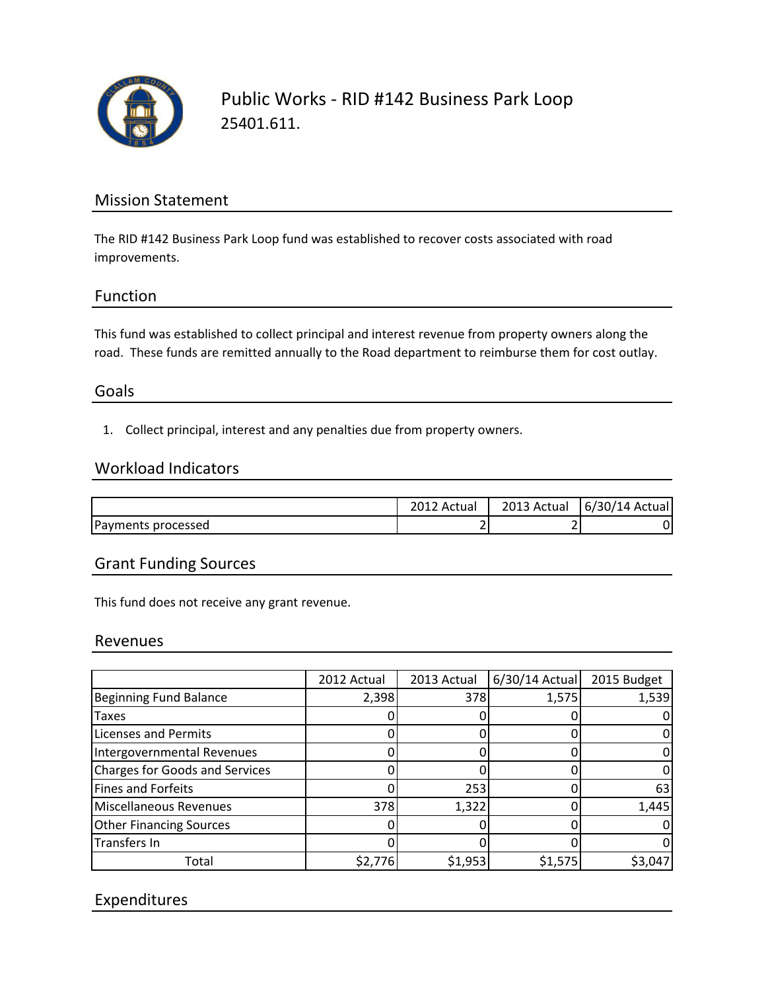

Public Works - RID #142 Business Park Loop 25401.611.

# Mission Statement

The RID #142 Business Park Loop fund was established to recover costs associated with road improvements.

## Function

This fund was established to collect principal and interest revenue from property owners along the road. These funds are remitted annually to the Road department to reimburse them for cost outlay.

## Goals

1. Collect principal, interest and any penalties due from property owners.

#### Workload Indicators

|                    | Actual   | 2013 Actual | $\sqrt{2}$<br>6/30/14<br>: Actual |
|--------------------|----------|-------------|-----------------------------------|
| Payments processed | <u>.</u> |             |                                   |

## Grant Funding Sources

This fund does not receive any grant revenue.

#### Revenues

|                                       | 2012 Actual | 2013 Actual | 6/30/14 Actual | 2015 Budget |
|---------------------------------------|-------------|-------------|----------------|-------------|
| <b>Beginning Fund Balance</b>         | 2,398       | 378         | 1,575          | 1,539       |
| <b>Taxes</b>                          |             |             |                |             |
| <b>Licenses and Permits</b>           |             |             |                |             |
| Intergovernmental Revenues            |             |             |                |             |
| <b>Charges for Goods and Services</b> |             |             |                |             |
| <b>Fines and Forfeits</b>             |             | 253         |                | 63          |
| Miscellaneous Revenues                | 378         | 1,322       |                | 1,445       |
| <b>Other Financing Sources</b>        |             |             |                |             |
| Transfers In                          |             |             |                |             |
| Total                                 | \$2,776     | \$1,953     | \$1,575        | \$3,047     |

# Expenditures